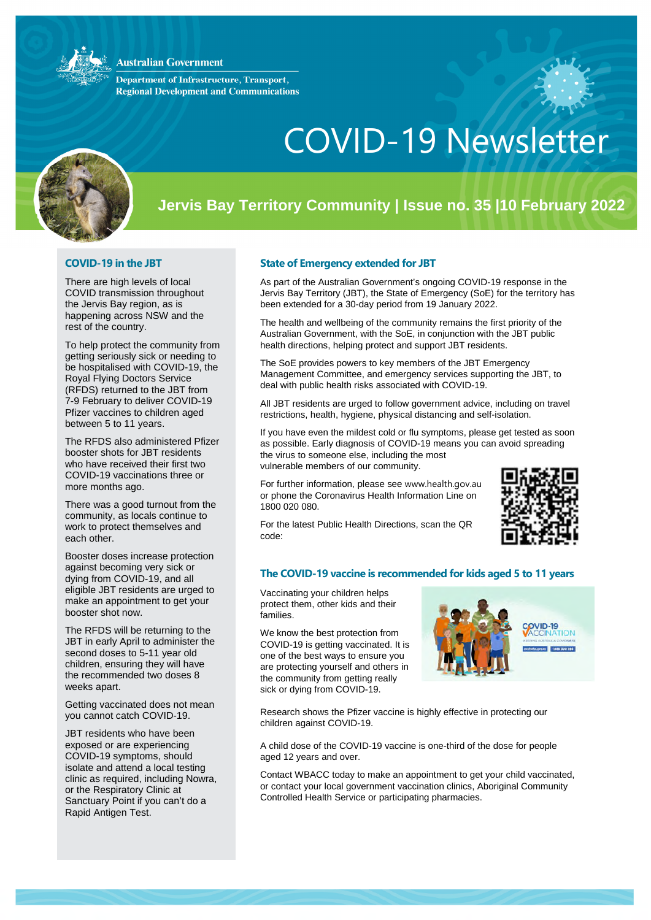### **Australian Government**

**Department of Infrastructure, Transport, Regional Development and Communications** 



# COVID-19 Newsletter

## **Jervis Bay Territory Community | Issue no. 35 |10 February 2022**

### **COVID-19 in the JBT**

There are high levels of local COVID transmission throughout the Jervis Bay region, as is happening across NSW and the rest of the country.

To help protect the community from getting seriously sick or needing to be hospitalised with COVID-19, the Royal Flying Doctors Service (RFDS) returned to the JBT from 7-9 February to deliver COVID-19 Pfizer vaccines to children aged between 5 to 11 years.

The RFDS also administered Pfizer booster shots for JBT residents who have received their first two COVID-19 vaccinations three or more months ago.

There was a good turnout from the community, as locals continue to work to protect themselves and each other.

Booster doses increase protection against becoming very sick or dying from COVID-19, and all eligible JBT residents are urged to make an appointment to get your booster shot now.

The RFDS will be returning to the JBT in early April to administer the second doses to 5-11 year old children, ensuring they will have the recommended two doses 8 weeks apart.

Getting vaccinated does not mean you cannot catch COVID-19.

JBT residents who have been exposed or are experiencing COVID-19 symptoms, should isolate and attend a local testing clinic as required, including Nowra, or the Respiratory Clinic at Sanctuary Point if you can't do a Rapid Antigen Test.

#### **State of Emergency extended for JBT**

As part of the Australian Government's ongoing COVID-19 response in the Jervis Bay Territory (JBT), the State of Emergency (SoE) for the territory has been extended for a 30-day period from 19 January 2022.

The health and wellbeing of the community remains the first priority of the Australian Government, with the SoE, in conjunction with the JBT public health directions, helping protect and support JBT residents.

The SoE provides powers to key members of the JBT Emergency Management Committee, and emergency services supporting the JBT, to deal with public health risks associated with COVID-19.

All JBT residents are urged to follow government advice, including on travel restrictions, health, hygiene, physical distancing and self-isolation.

If you have even the mildest cold or flu symptoms, please get tested as soon as possible. Early diagnosis of COVID-19 means you can avoid spreading the virus to someone else, including the most vulnerable members of our community.

For further information, please see [www.health.gov.au](http://www.health.gov.au/) or phone the Coronavirus Health Information Line on 1800 020 080.

For the latest Public Health Directions, scan the QR code:



### **The COVID-19 vaccine is recommended for kids aged 5 to 11 years**

Vaccinating your children helps protect them, other kids and their families.

We know the best protection from COVID-19 is getting vaccinated. It is one of the best ways to ensure you are protecting yourself and others in the community from getting really sick or dying from COVID-19.



COVID-19

Research shows the Pfizer vaccine is highly effective in protecting our children against COVID-19.

A child dose of the COVID-19 vaccine is one-third of the dose for people aged 12 years and over.

Contact WBACC today to make an appointment to get your child vaccinated, or contact your local government vaccination clinics, Aboriginal Community Controlled Health Service or participating pharmacies.